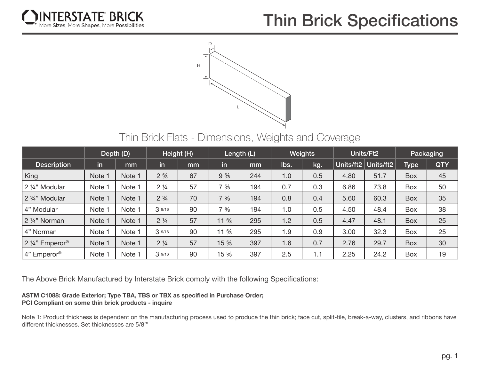

## **Thin Brick Specifications**



Thin Brick Flats - Dimensions, Weights and Coverage

|                                         | Depth (D) |        | Height (H)     |    | Length (L)       |     | <b>Weights</b> |     | Units/Ft2 |           | Packaging   |            |
|-----------------------------------------|-----------|--------|----------------|----|------------------|-----|----------------|-----|-----------|-----------|-------------|------------|
| <b>Description</b>                      | in        | mm     | in             | mm | in               | mm  | lbs.           | kg. | Units/ft2 | Units/ft2 | <b>Type</b> | <b>QTY</b> |
| King                                    | Note 1    | Note 1 | $2\frac{5}{8}$ | 67 | 9.5/8            | 244 | 1.0            | 0.5 | 4.80      | 51.7      | Box         | 45         |
| 2 1/4" Modular                          | Note 1    | Note 1 | $2\frac{1}{4}$ | 57 | $7\frac{5}{8}$   | 194 | 0.7            | 0.3 | 6.86      | 73.8      | Box         | 50         |
| 2 <sup>3</sup> / <sub>4</sub> " Modular | Note 1    | Note 1 | $2\frac{3}{4}$ | 70 | $7\frac{5}{8}$   | 194 | 0.8            | 0.4 | 5.60      | 60.3      | Box         | 35         |
| 4" Modular                              | Note 1    | Note 1 | 39/16          | 90 | $7\frac{5}{8}$   | 194 | 1.0            | 0.5 | 4.50      | 48.4      | Box         | 38         |
| 2 1/4" Norman                           | Note 1    | Note 1 | $2\frac{1}{4}$ | 57 | $11 \frac{5}{8}$ | 295 | 1.2            | 0.5 | 4.47      | 48.1      | <b>Box</b>  | 25         |
| 4" Norman                               | Note 1    | Note 1 | 39/16          | 90 | 11 %             | 295 | 1.9            | 0.9 | 3.00      | 32.3      | <b>Box</b>  | 25         |
| 2 1/4" Emperor®                         | Note 1    | Note 1 | $2\frac{1}{4}$ | 57 | 15 %             | 397 | 1.6            | 0.7 | 2.76      | 29.7      | <b>Box</b>  | 30         |
| 4" Emperor®                             | Note 1    | Note 1 | 39/16          | 90 | 15 %             | 397 | 2.5            | 1.1 | 2.25      | 24.2      | <b>Box</b>  | 19         |

The Above Brick Manufactured by Interstate Brick comply with the following Specifications:

## **ASTM C1088: Grade Exterior; Type TBA, TBS or TBX as specified in Purchase Order; PCI Compliant on some thin brick products - inquire**

Note 1: Product thickness is dependent on the manufacturing process used to produce the thin brick; face cut, split-tile, break-a-way, clusters, and ribbons have different thicknesses. Set thicknesses are 5/8'"